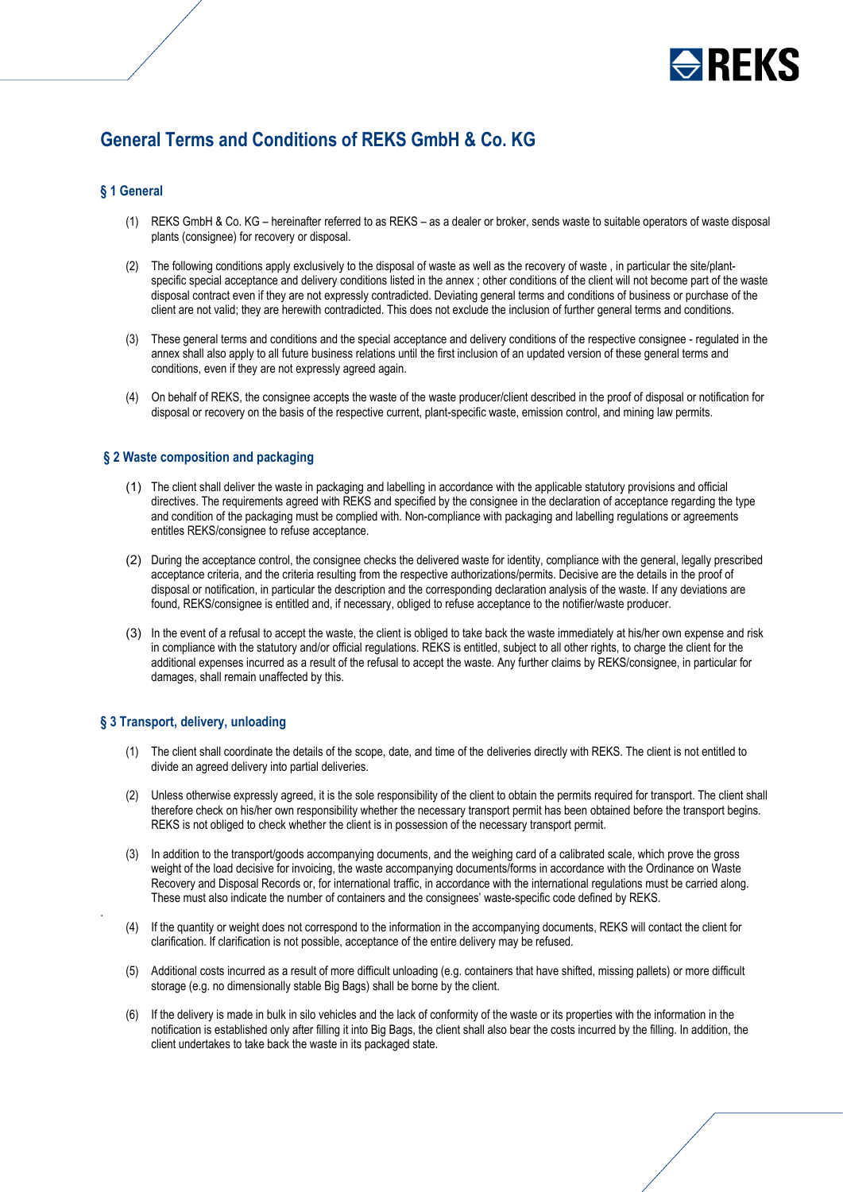

# **General Terms and Conditions of REKS GmbH & Co. KG**

## **§ 1 General**

- (1) REKS GmbH & Co. KG hereinafter referred to as REKS as a dealer or broker, sends waste to suitable operators of waste disposal plants (consignee) for recovery or disposal.
- (2) The following conditions apply exclusively to the disposal of waste as well as the recovery of waste , in particular the site/plantspecific special acceptance and delivery conditions listed in the annex ; other conditions of the client will not become part of the waste disposal contract even if they are not expressly contradicted. Deviating general terms and conditions of business or purchase of the client are not valid; they are herewith contradicted. This does not exclude the inclusion of further general terms and conditions.
- (3) These general terms and conditions and the special acceptance and delivery conditions of the respective consignee regulated in the annex shall also apply to all future business relations until the first inclusion of an updated version of these general terms and conditions, even if they are not expressly agreed again.
- (4) On behalf of REKS, the consignee accepts the waste of the waste producer/client described in the proof of disposal or notification for disposal or recovery on the basis of the respective current, plant-specific waste, emission control, and mining law permits.

# **§ 2 Waste composition and packaging**

- (1) The client shall deliver the waste in packaging and labelling in accordance with the applicable statutory provisions and official directives. The requirements agreed with REKS and specified by the consignee in the declaration of acceptance regarding the type and condition of the packaging must be complied with. Non-compliance with packaging and labelling regulations or agreements entitles REKS/consignee to refuse acceptance.
- (2) During the acceptance control, the consignee checks the delivered waste for identity, compliance with the general, legally prescribed acceptance criteria, and the criteria resulting from the respective authorizations/permits. Decisive are the details in the proof of disposal or notification, in particular the description and the corresponding declaration analysis of the waste. If any deviations are found, REKS/consignee is entitled and, if necessary, obliged to refuse acceptance to the notifier/waste producer.
- (3) In the event of a refusal to accept the waste, the client is obliged to take back the waste immediately at his/her own expense and risk in compliance with the statutory and/or official regulations. REKS is entitled, subject to all other rights, to charge the client for the additional expenses incurred as a result of the refusal to accept the waste. Any further claims by REKS/consignee, in particular for damages, shall remain unaffected by this.

## **§ 3 Transport, delivery, unloading**

.

- (1) The client shall coordinate the details of the scope, date, and time of the deliveries directly with REKS. The client is not entitled to divide an agreed delivery into partial deliveries.
- (2) Unless otherwise expressly agreed, it is the sole responsibility of the client to obtain the permits required for transport. The client shall therefore check on his/her own responsibility whether the necessary transport permit has been obtained before the transport begins. REKS is not obliged to check whether the client is in possession of the necessary transport permit.
- (3) In addition to the transport/goods accompanying documents, and the weighing card of a calibrated scale, which prove the gross weight of the load decisive for invoicing, the waste accompanying documents/forms in accordance with the Ordinance on Waste Recovery and Disposal Records or, for international traffic, in accordance with the international regulations must be carried along. These must also indicate the number of containers and the consignees' waste-specific code defined by REKS.
- (4) If the quantity or weight does not correspond to the information in the accompanying documents, REKS will contact the client for clarification. If clarification is not possible, acceptance of the entire delivery may be refused.
- (5) Additional costs incurred as a result of more difficult unloading (e.g. containers that have shifted, missing pallets) or more difficult storage (e.g. no dimensionally stable Big Bags) shall be borne by the client.
- (6) If the delivery is made in bulk in silo vehicles and the lack of conformity of the waste or its properties with the information in the notification is established only after filling it into Big Bags, the client shall also bear the costs incurred by the filling. In addition, the client undertakes to take back the waste in its packaged state.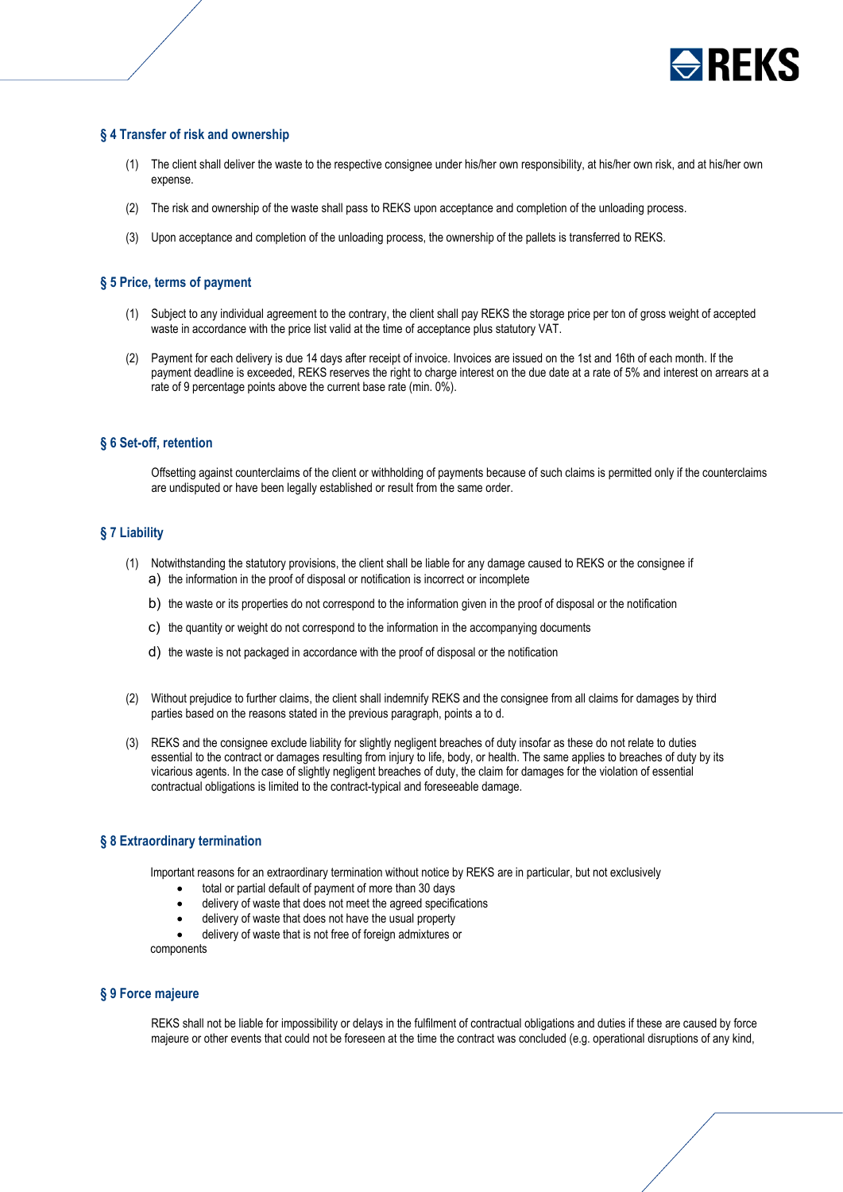

# **§ 4 Transfer of risk and ownership**

- (1) The client shall deliver the waste to the respective consignee under his/her own responsibility, at his/her own risk, and at his/her own expense.
- (2) The risk and ownership of the waste shall pass to REKS upon acceptance and completion of the unloading process.
- (3) Upon acceptance and completion of the unloading process, the ownership of the pallets is transferred to REKS.

#### **§ 5 Price, terms of payment**

- (1) Subject to any individual agreement to the contrary, the client shall pay REKS the storage price per ton of gross weight of accepted waste in accordance with the price list valid at the time of acceptance plus statutory VAT.
- (2) Payment for each delivery is due 14 days after receipt of invoice. Invoices are issued on the 1st and 16th of each month. If the payment deadline is exceeded, REKS reserves the right to charge interest on the due date at a rate of 5% and interest on arrears at a rate of 9 percentage points above the current base rate (min. 0%).

#### **§ 6 Set-off, retention**

Offsetting against counterclaims of the client or withholding of payments because of such claims is permitted only if the counterclaims are undisputed or have been legally established or result from the same order.

## **§ 7 Liability**

- (1) Notwithstanding the statutory provisions, the client shall be liable for any damage caused to REKS or the consignee if a) the information in the proof of disposal or notification is incorrect or incomplete
	- b) the waste or its properties do not correspond to the information given in the proof of disposal or the notification
	- c) the quantity or weight do not correspond to the information in the accompanying documents
	- d) the waste is not packaged in accordance with the proof of disposal or the notification
- (2) Without prejudice to further claims, the client shall indemnify REKS and the consignee from all claims for damages by third parties based on the reasons stated in the previous paragraph, points a to d.
- (3) REKS and the consignee exclude liability for slightly negligent breaches of duty insofar as these do not relate to duties essential to the contract or damages resulting from injury to life, body, or health. The same applies to breaches of duty by its vicarious agents. In the case of slightly negligent breaches of duty, the claim for damages for the violation of essential contractual obligations is limited to the contract-typical and foreseeable damage.

#### **§ 8 Extraordinary termination**

Important reasons for an extraordinary termination without notice by REKS are in particular, but not exclusively

- total or partial default of payment of more than 30 days
- delivery of waste that does not meet the agreed specifications
- delivery of waste that does not have the usual property

delivery of waste that is not free of foreign admixtures or components

## **§ 9 Force majeure**

REKS shall not be liable for impossibility or delays in the fulfilment of contractual obligations and duties if these are caused by force majeure or other events that could not be foreseen at the time the contract was concluded (e.g. operational disruptions of any kind,